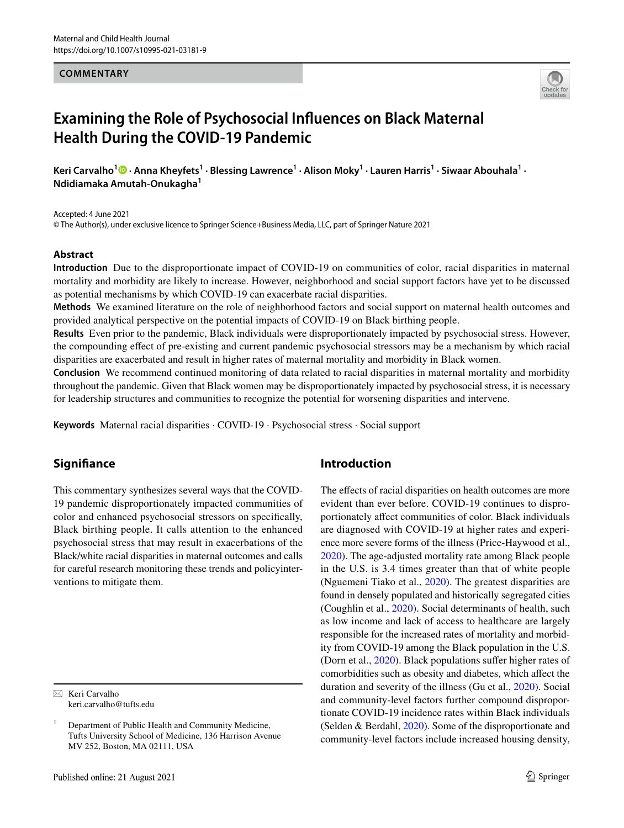#### **COMMENTARY**



# **Examining the Role of Psychosocial Infuences on Black Maternal Health During the COVID‑19 Pandemic**

KeriCarvalho<sup>1</sup> D · Anna Kheyfets<sup>1</sup> · Blessing Lawrence<sup>1</sup> · Alison Moky<sup>1</sup> · Lauren Harris<sup>1</sup> · Siwaar Abouhala<sup>1</sup> · **Ndidiamaka Amutah‑Onukagha<sup>1</sup>**

Accepted: 4 June 2021 © The Author(s), under exclusive licence to Springer Science+Business Media, LLC, part of Springer Nature 2021

#### **Abstract**

**Introduction** Due to the disproportionate impact of COVID-19 on communities of color, racial disparities in maternal mortality and morbidity are likely to increase. However, neighborhood and social support factors have yet to be discussed as potential mechanisms by which COVID-19 can exacerbate racial disparities.

**Methods** We examined literature on the role of neighborhood factors and social support on maternal health outcomes and provided analytical perspective on the potential impacts of COVID-19 on Black birthing people.

**Results** Even prior to the pandemic, Black individuals were disproportionately impacted by psychosocial stress. However, the compounding efect of pre-existing and current pandemic psychosocial stressors may be a mechanism by which racial disparities are exacerbated and result in higher rates of maternal mortality and morbidity in Black women.

**Conclusion** We recommend continued monitoring of data related to racial disparities in maternal mortality and morbidity throughout the pandemic. Given that Black women may be disproportionately impacted by psychosocial stress, it is necessary for leadership structures and communities to recognize the potential for worsening disparities and intervene.

**Keywords** Maternal racial disparities · COVID-19 · Psychosocial stress · Social support

# **Signifance**

This commentary synthesizes several ways that the COVID-19 pandemic disproportionately impacted communities of color and enhanced psychosocial stressors on specifcally, Black birthing people. It calls attention to the enhanced psychosocial stress that may result in exacerbations of the Black/white racial disparities in maternal outcomes and calls for careful research monitoring these trends and policyinterventions to mitigate them.

 $\boxtimes$  Keri Carvalho keri.carvalho@tufts.edu

# **Introduction**

The effects of racial disparities on health outcomes are more evident than ever before. COVID-19 continues to disproportionately afect communities of color. Black individuals are diagnosed with COVID-19 at higher rates and experience more severe forms of the illness (Price-Haywood et al., [2020](#page-5-0)). The age-adjusted mortality rate among Black people in the U.S. is 3.4 times greater than that of white people (Nguemeni Tiako et al., [2020\)](#page-5-1). The greatest disparities are found in densely populated and historically segregated cities (Coughlin et al., [2020](#page-4-0)). Social determinants of health, such as low income and lack of access to healthcare are largely responsible for the increased rates of mortality and morbidity from COVID-19 among the Black population in the U.S. (Dorn et al., [2020](#page-5-2)). Black populations sufer higher rates of comorbidities such as obesity and diabetes, which afect the duration and severity of the illness (Gu et al., [2020\)](#page-4-1). Social and community-level factors further compound disproportionate COVID-19 incidence rates within Black individuals (Selden & Berdahl, [2020\)](#page-5-3). Some of the disproportionate and community-level factors include increased housing density,

<sup>1</sup> Department of Public Health and Community Medicine, Tufts University School of Medicine, 136 Harrison Avenue MV 252, Boston, MA 02111, USA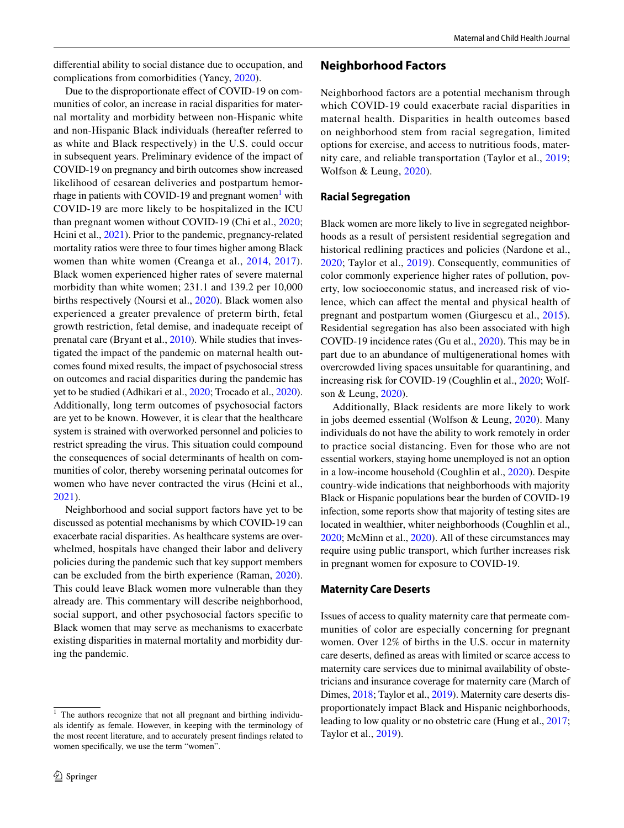diferential ability to social distance due to occupation, and complications from comorbidities (Yancy, [2020\)](#page-5-4).

Due to the disproportionate effect of COVID-19 on communities of color, an increase in racial disparities for maternal mortality and morbidity between non-Hispanic white and non-Hispanic Black individuals (hereafter referred to as white and Black respectively) in the U.S. could occur in subsequent years. Preliminary evidence of the impact of COVID-19 on pregnancy and birth outcomes show increased likelihood of cesarean deliveries and postpartum hemor-rhage in patients with COVID-[1](#page-1-0)9 and pregnant women<sup>1</sup> with COVID-19 are more likely to be hospitalized in the ICU than pregnant women without COVID-19 (Chi et al., [2020](#page-4-2); Hcini et al., [2021](#page-4-3)). Prior to the pandemic, pregnancy-related mortality ratios were three to four times higher among Black women than white women (Creanga et al., [2014](#page-4-4), [2017](#page-4-5)). Black women experienced higher rates of severe maternal morbidity than white women; 231.1 and 139.2 per 10,000 births respectively (Noursi et al., [2020](#page-5-5)). Black women also experienced a greater prevalence of preterm birth, fetal growth restriction, fetal demise, and inadequate receipt of prenatal care (Bryant et al., [2010](#page-4-6)). While studies that investigated the impact of the pandemic on maternal health outcomes found mixed results, the impact of psychosocial stress on outcomes and racial disparities during the pandemic has yet to be studied (Adhikari et al., [2020;](#page-4-7) Trocado et al., [2020](#page-5-6)). Additionally, long term outcomes of psychosocial factors are yet to be known. However, it is clear that the healthcare system is strained with overworked personnel and policies to restrict spreading the virus. This situation could compound the consequences of social determinants of health on communities of color, thereby worsening perinatal outcomes for women who have never contracted the virus (Hcini et al., [2021](#page-4-3)).

Neighborhood and social support factors have yet to be discussed as potential mechanisms by which COVID-19 can exacerbate racial disparities. As healthcare systems are overwhelmed, hospitals have changed their labor and delivery policies during the pandemic such that key support members can be excluded from the birth experience (Raman, [2020](#page-5-7)). This could leave Black women more vulnerable than they already are. This commentary will describe neighborhood, social support, and other psychosocial factors specifc to Black women that may serve as mechanisms to exacerbate existing disparities in maternal mortality and morbidity during the pandemic.

#### **Neighborhood Factors**

Neighborhood factors are a potential mechanism through which COVID-19 could exacerbate racial disparities in maternal health. Disparities in health outcomes based on neighborhood stem from racial segregation, limited options for exercise, and access to nutritious foods, maternity care, and reliable transportation (Taylor et al., [2019](#page-5-8); Wolfson & Leung, [2020\)](#page-5-9).

#### **Racial Segregation**

Black women are more likely to live in segregated neighborhoods as a result of persistent residential segregation and historical redlining practices and policies (Nardone et al., [2020;](#page-5-10) Taylor et al., [2019\)](#page-5-8). Consequently, communities of color commonly experience higher rates of pollution, poverty, low socioeconomic status, and increased risk of violence, which can afect the mental and physical health of pregnant and postpartum women (Giurgescu et al., [2015](#page-4-8)). Residential segregation has also been associated with high COVID-19 incidence rates (Gu et al., [2020](#page-4-1)). This may be in part due to an abundance of multigenerational homes with overcrowded living spaces unsuitable for quarantining, and increasing risk for COVID-19 (Coughlin et al., [2020;](#page-4-0) Wolfson & Leung, [2020\)](#page-5-9).

Additionally, Black residents are more likely to work in jobs deemed essential (Wolfson & Leung, [2020\)](#page-5-9). Many individuals do not have the ability to work remotely in order to practice social distancing. Even for those who are not essential workers, staying home unemployed is not an option in a low-income household (Coughlin et al., [2020](#page-4-0)). Despite country-wide indications that neighborhoods with majority Black or Hispanic populations bear the burden of COVID-19 infection, some reports show that majority of testing sites are located in wealthier, whiter neighborhoods (Coughlin et al., [2020](#page-4-0); McMinn et al., [2020](#page-4-9)). All of these circumstances may require using public transport, which further increases risk in pregnant women for exposure to COVID-19.

#### **Maternity Care Deserts**

Issues of access to quality maternity care that permeate communities of color are especially concerning for pregnant women. Over 12% of births in the U.S. occur in maternity care deserts, defned as areas with limited or scarce access to maternity care services due to minimal availability of obstetricians and insurance coverage for maternity care (March of Dimes, [2018](#page-4-10); Taylor et al., [2019](#page-5-8)). Maternity care deserts disproportionately impact Black and Hispanic neighborhoods, leading to low quality or no obstetric care (Hung et al., [2017](#page-4-11); Taylor et al., [2019](#page-5-8)).

<span id="page-1-0"></span> $1$  The authors recognize that not all pregnant and birthing individuals identify as female. However, in keeping with the terminology of the most recent literature, and to accurately present fndings related to women specifcally, we use the term "women".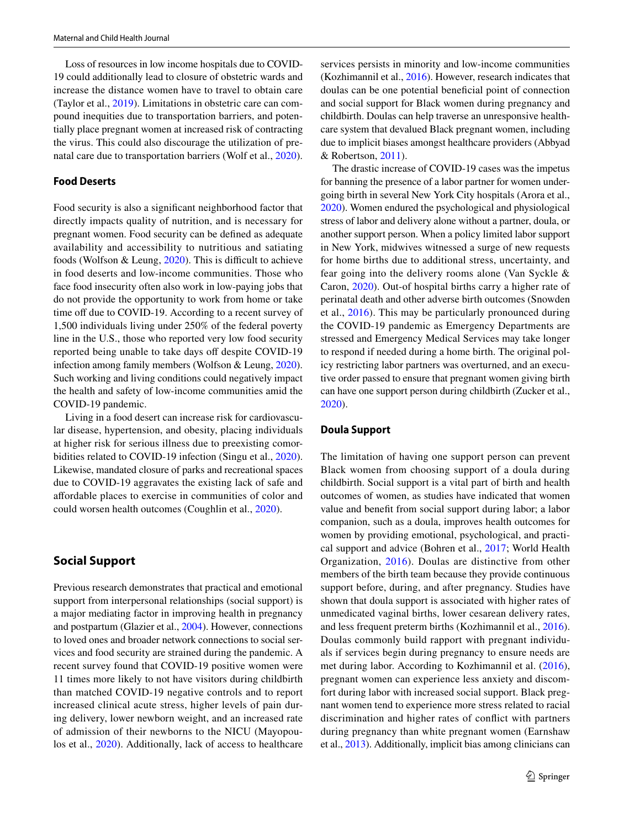Loss of resources in low income hospitals due to COVID-19 could additionally lead to closure of obstetric wards and increase the distance women have to travel to obtain care (Taylor et al., [2019\)](#page-5-8). Limitations in obstetric care can compound inequities due to transportation barriers, and potentially place pregnant women at increased risk of contracting the virus. This could also discourage the utilization of prenatal care due to transportation barriers (Wolf et al., [2020](#page-5-11)).

#### **Food Deserts**

Food security is also a signifcant neighborhood factor that directly impacts quality of nutrition, and is necessary for pregnant women. Food security can be defned as adequate availability and accessibility to nutritious and satiating foods (Wolfson & Leung,  $2020$ ). This is difficult to achieve in food deserts and low-income communities. Those who face food insecurity often also work in low-paying jobs that do not provide the opportunity to work from home or take time off due to COVID-19. According to a recent survey of 1,500 individuals living under 250% of the federal poverty line in the U.S., those who reported very low food security reported being unable to take days off despite COVID-19 infection among family members (Wolfson & Leung, [2020](#page-5-9)). Such working and living conditions could negatively impact the health and safety of low-income communities amid the COVID-19 pandemic.

Living in a food desert can increase risk for cardiovascular disease, hypertension, and obesity, placing individuals at higher risk for serious illness due to preexisting comorbidities related to COVID-19 infection (Singu et al., [2020](#page-5-12)). Likewise, mandated closure of parks and recreational spaces due to COVID-19 aggravates the existing lack of safe and afordable places to exercise in communities of color and could worsen health outcomes (Coughlin et al., [2020\)](#page-4-0).

## **Social Support**

Previous research demonstrates that practical and emotional support from interpersonal relationships (social support) is a major mediating factor in improving health in pregnancy and postpartum (Glazier et al., [2004](#page-4-12)). However, connections to loved ones and broader network connections to social services and food security are strained during the pandemic. A recent survey found that COVID-19 positive women were 11 times more likely to not have visitors during childbirth than matched COVID-19 negative controls and to report increased clinical acute stress, higher levels of pain during delivery, lower newborn weight, and an increased rate of admission of their newborns to the NICU (Mayopoulos et al., [2020\)](#page-4-13). Additionally, lack of access to healthcare services persists in minority and low-income communities (Kozhimannil et al., [2016\)](#page-4-14). However, research indicates that doulas can be one potential benefcial point of connection and social support for Black women during pregnancy and childbirth. Doulas can help traverse an unresponsive healthcare system that devalued Black pregnant women, including due to implicit biases amongst healthcare providers (Abbyad & Robertson, [2011](#page-4-15)).

The drastic increase of COVID-19 cases was the impetus for banning the presence of a labor partner for women undergoing birth in several New York City hospitals (Arora et al., [2020](#page-4-16)). Women endured the psychological and physiological stress of labor and delivery alone without a partner, doula, or another support person. When a policy limited labor support in New York, midwives witnessed a surge of new requests for home births due to additional stress, uncertainty, and fear going into the delivery rooms alone (Van Syckle & Caron, [2020\)](#page-5-13). Out-of hospital births carry a higher rate of perinatal death and other adverse birth outcomes (Snowden et al., [2016\)](#page-5-14). This may be particularly pronounced during the COVID-19 pandemic as Emergency Departments are stressed and Emergency Medical Services may take longer to respond if needed during a home birth. The original policy restricting labor partners was overturned, and an executive order passed to ensure that pregnant women giving birth can have one support person during childbirth (Zucker et al., [2020](#page-5-15)).

#### **Doula Support**

The limitation of having one support person can prevent Black women from choosing support of a doula during childbirth. Social support is a vital part of birth and health outcomes of women, as studies have indicated that women value and beneft from social support during labor; a labor companion, such as a doula, improves health outcomes for women by providing emotional, psychological, and practical support and advice (Bohren et al., [2017](#page-4-17); World Health Organization, [2016](#page-5-16)). Doulas are distinctive from other members of the birth team because they provide continuous support before, during, and after pregnancy. Studies have shown that doula support is associated with higher rates of unmedicated vaginal births, lower cesarean delivery rates, and less frequent preterm births (Kozhimannil et al., [2016](#page-4-14)). Doulas commonly build rapport with pregnant individuals if services begin during pregnancy to ensure needs are met during labor. According to Kozhimannil et al. [\(2016](#page-4-14)), pregnant women can experience less anxiety and discomfort during labor with increased social support. Black pregnant women tend to experience more stress related to racial discrimination and higher rates of confict with partners during pregnancy than white pregnant women (Earnshaw et al., [2013](#page-4-18)). Additionally, implicit bias among clinicians can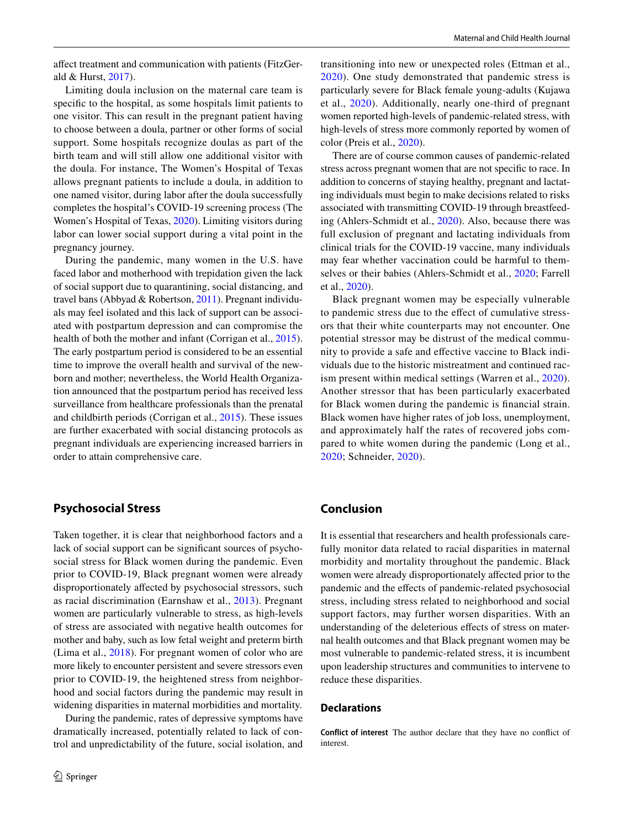afect treatment and communication with patients (FitzGerald & Hurst, [2017\)](#page-4-19).

Limiting doula inclusion on the maternal care team is specifc to the hospital, as some hospitals limit patients to one visitor. This can result in the pregnant patient having to choose between a doula, partner or other forms of social support. Some hospitals recognize doulas as part of the birth team and will still allow one additional visitor with the doula. For instance, The Women's Hospital of Texas allows pregnant patients to include a doula, in addition to one named visitor, during labor after the doula successfully completes the hospital's COVID-19 screening process (The Women's Hospital of Texas, [2020\)](#page-5-17). Limiting visitors during labor can lower social support during a vital point in the pregnancy journey.

During the pandemic, many women in the U.S. have faced labor and motherhood with trepidation given the lack of social support due to quarantining, social distancing, and travel bans (Abbyad & Robertson, [2011](#page-4-15)). Pregnant individuals may feel isolated and this lack of support can be associated with postpartum depression and can compromise the health of both the mother and infant (Corrigan et al., [2015](#page-4-20)). The early postpartum period is considered to be an essential time to improve the overall health and survival of the newborn and mother; nevertheless, the World Health Organization announced that the postpartum period has received less surveillance from healthcare professionals than the prenatal and childbirth periods (Corrigan et al., [2015\)](#page-4-20). These issues are further exacerbated with social distancing protocols as pregnant individuals are experiencing increased barriers in order to attain comprehensive care.

## **Psychosocial Stress**

Taken together, it is clear that neighborhood factors and a lack of social support can be signifcant sources of psychosocial stress for Black women during the pandemic. Even prior to COVID-19, Black pregnant women were already disproportionately afected by psychosocial stressors, such as racial discrimination (Earnshaw et al., [2013\)](#page-4-18). Pregnant women are particularly vulnerable to stress, as high-levels of stress are associated with negative health outcomes for mother and baby, such as low fetal weight and preterm birth (Lima et al., [2018\)](#page-4-21). For pregnant women of color who are more likely to encounter persistent and severe stressors even prior to COVID-19, the heightened stress from neighborhood and social factors during the pandemic may result in widening disparities in maternal morbidities and mortality.

During the pandemic, rates of depressive symptoms have dramatically increased, potentially related to lack of control and unpredictability of the future, social isolation, and transitioning into new or unexpected roles (Ettman et al., [2020](#page-4-22)). One study demonstrated that pandemic stress is particularly severe for Black female young-adults (Kujawa et al., [2020\)](#page-4-23). Additionally, nearly one-third of pregnant women reported high-levels of pandemic-related stress, with high-levels of stress more commonly reported by women of color (Preis et al., [2020](#page-5-18)).

There are of course common causes of pandemic-related stress across pregnant women that are not specifc to race. In addition to concerns of staying healthy, pregnant and lactating individuals must begin to make decisions related to risks associated with transmitting COVID-19 through breastfeeding (Ahlers-Schmidt et al., [2020\)](#page-4-24). Also, because there was full exclusion of pregnant and lactating individuals from clinical trials for the COVID-19 vaccine, many individuals may fear whether vaccination could be harmful to themselves or their babies (Ahlers-Schmidt et al., [2020](#page-4-24); Farrell et al., [2020\)](#page-4-25).

Black pregnant women may be especially vulnerable to pandemic stress due to the efect of cumulative stressors that their white counterparts may not encounter. One potential stressor may be distrust of the medical community to provide a safe and efective vaccine to Black individuals due to the historic mistreatment and continued racism present within medical settings (Warren et al., [2020](#page-5-19)). Another stressor that has been particularly exacerbated for Black women during the pandemic is fnancial strain. Black women have higher rates of job loss, unemployment, and approximately half the rates of recovered jobs compared to white women during the pandemic (Long et al., [2020;](#page-4-26) Schneider, [2020\)](#page-5-20).

# **Conclusion**

It is essential that researchers and health professionals carefully monitor data related to racial disparities in maternal morbidity and mortality throughout the pandemic. Black women were already disproportionately afected prior to the pandemic and the efects of pandemic-related psychosocial stress, including stress related to neighborhood and social support factors, may further worsen disparities. With an understanding of the deleterious efects of stress on maternal health outcomes and that Black pregnant women may be most vulnerable to pandemic-related stress, it is incumbent upon leadership structures and communities to intervene to reduce these disparities.

#### **Declarations**

**Conflict of interest** The author declare that they have no confict of interest.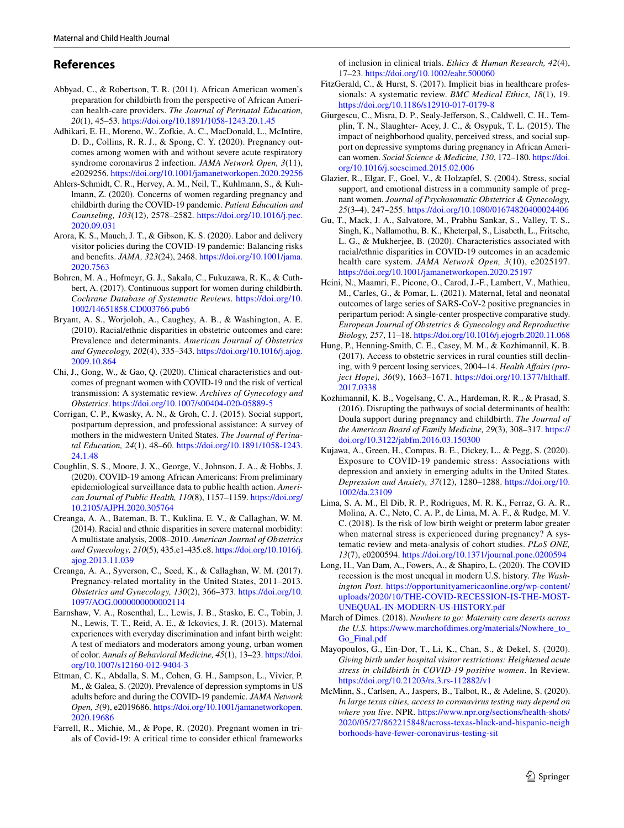# **References**

- <span id="page-4-15"></span>Abbyad, C., & Robertson, T. R. (2011). African American women's preparation for childbirth from the perspective of African American health-care providers. *The Journal of Perinatal Education, 20*(1), 45–53. <https://doi.org/10.1891/1058-1243.20.1.45>
- <span id="page-4-7"></span>Adhikari, E. H., Moreno, W., Zofkie, A. C., MacDonald, L., McIntire, D. D., Collins, R. R. J., & Spong, C. Y. (2020). Pregnancy outcomes among women with and without severe acute respiratory syndrome coronavirus 2 infection. *JAMA Network Open, 3*(11), e2029256. <https://doi.org/10.1001/jamanetworkopen.2020.29256>
- <span id="page-4-24"></span>Ahlers-Schmidt, C. R., Hervey, A. M., Neil, T., Kuhlmann, S., & Kuhlmann, Z. (2020). Concerns of women regarding pregnancy and childbirth during the COVID-19 pandemic. *Patient Education and Counseling, 103*(12), 2578–2582. [https://doi.org/10.1016/j.pec.](https://doi.org/10.1016/j.pec.2020.09.031) [2020.09.031](https://doi.org/10.1016/j.pec.2020.09.031)
- <span id="page-4-16"></span>Arora, K. S., Mauch, J. T., & Gibson, K. S. (2020). Labor and delivery visitor policies during the COVID-19 pandemic: Balancing risks and benefts. *JAMA, 323*(24), 2468. [https://doi.org/10.1001/jama.](https://doi.org/10.1001/jama.2020.7563) [2020.7563](https://doi.org/10.1001/jama.2020.7563)
- <span id="page-4-17"></span>Bohren, M. A., Hofmeyr, G. J., Sakala, C., Fukuzawa, R. K., & Cuthbert, A. (2017). Continuous support for women during childbirth. *Cochrane Database of Systematic Reviews*. [https://doi.org/10.](https://doi.org/10.1002/14651858.CD003766.pub6) [1002/14651858.CD003766.pub6](https://doi.org/10.1002/14651858.CD003766.pub6)
- <span id="page-4-6"></span>Bryant, A. S., Worjoloh, A., Caughey, A. B., & Washington, A. E. (2010). Racial/ethnic disparities in obstetric outcomes and care: Prevalence and determinants. *American Journal of Obstetrics and Gynecology, 202*(4), 335–343. [https://doi.org/10.1016/j.ajog.](https://doi.org/10.1016/j.ajog.2009.10.864) [2009.10.864](https://doi.org/10.1016/j.ajog.2009.10.864)
- <span id="page-4-2"></span>Chi, J., Gong, W., & Gao, Q. (2020). Clinical characteristics and outcomes of pregnant women with COVID-19 and the risk of vertical transmission: A systematic review. *Archives of Gynecology and Obstetrics*.<https://doi.org/10.1007/s00404-020-05889-5>
- <span id="page-4-20"></span>Corrigan, C. P., Kwasky, A. N., & Groh, C. J. (2015). Social support, postpartum depression, and professional assistance: A survey of mothers in the midwestern United States. *The Journal of Perinatal Education, 24*(1), 48–60. [https://doi.org/10.1891/1058-1243.](https://doi.org/10.1891/1058-1243.24.1.48) [24.1.48](https://doi.org/10.1891/1058-1243.24.1.48)
- <span id="page-4-0"></span>Coughlin, S. S., Moore, J. X., George, V., Johnson, J. A., & Hobbs, J. (2020). COVID-19 among African Americans: From preliminary epidemiological surveillance data to public health action. *American Journal of Public Health, 110*(8), 1157–1159. [https://doi.org/](https://doi.org/10.2105/AJPH.2020.305764) [10.2105/AJPH.2020.305764](https://doi.org/10.2105/AJPH.2020.305764)
- <span id="page-4-4"></span>Creanga, A. A., Bateman, B. T., Kuklina, E. V., & Callaghan, W. M. (2014). Racial and ethnic disparities in severe maternal morbidity: A multistate analysis, 2008–2010. *American Journal of Obstetrics and Gynecology, 210*(5), 435.e1-435.e8. [https://doi.org/10.1016/j.](https://doi.org/10.1016/j.ajog.2013.11.039) [ajog.2013.11.039](https://doi.org/10.1016/j.ajog.2013.11.039)
- <span id="page-4-5"></span>Creanga, A. A., Syverson, C., Seed, K., & Callaghan, W. M. (2017). Pregnancy-related mortality in the United States, 2011–2013. *Obstetrics and Gynecology, 130*(2), 366–373. [https://doi.org/10.](https://doi.org/10.1097/AOG.0000000000002114) [1097/AOG.0000000000002114](https://doi.org/10.1097/AOG.0000000000002114)
- <span id="page-4-18"></span>Earnshaw, V. A., Rosenthal, L., Lewis, J. B., Stasko, E. C., Tobin, J. N., Lewis, T. T., Reid, A. E., & Ickovics, J. R. (2013). Maternal experiences with everyday discrimination and infant birth weight: A test of mediators and moderators among young, urban women of color. *Annals of Behavioral Medicine, 45*(1), 13–23. [https://doi.](https://doi.org/10.1007/s12160-012-9404-3) [org/10.1007/s12160-012-9404-3](https://doi.org/10.1007/s12160-012-9404-3)
- <span id="page-4-22"></span>Ettman, C. K., Abdalla, S. M., Cohen, G. H., Sampson, L., Vivier, P. M., & Galea, S. (2020). Prevalence of depression symptoms in US adults before and during the COVID-19 pandemic. *JAMA Network Open, 3*(9), e2019686. [https://doi.org/10.1001/jamanetworkopen.](https://doi.org/10.1001/jamanetworkopen.2020.19686) [2020.19686](https://doi.org/10.1001/jamanetworkopen.2020.19686)
- <span id="page-4-25"></span>Farrell, R., Michie, M., & Pope, R. (2020). Pregnant women in trials of Covid-19: A critical time to consider ethical frameworks

of inclusion in clinical trials. *Ethics & Human Research, 42*(4), 17–23. <https://doi.org/10.1002/eahr.500060>

- <span id="page-4-19"></span>FitzGerald, C., & Hurst, S. (2017). Implicit bias in healthcare professionals: A systematic review. *BMC Medical Ethics, 18*(1), 19. <https://doi.org/10.1186/s12910-017-0179-8>
- <span id="page-4-8"></span>Giurgescu, C., Misra, D. P., Sealy-Jeferson, S., Caldwell, C. H., Templin, T. N., Slaughter- Acey, J. C., & Osypuk, T. L. (2015). The impact of neighborhood quality, perceived stress, and social support on depressive symptoms during pregnancy in African American women. *Social Science & Medicine, 130*, 172–180. [https://doi.](https://doi.org/10.1016/j.socscimed.2015.02.006) [org/10.1016/j.socscimed.2015.02.006](https://doi.org/10.1016/j.socscimed.2015.02.006)
- <span id="page-4-12"></span>Glazier, R., Elgar, F., Goel, V., & Holzapfel, S. (2004). Stress, social support, and emotional distress in a community sample of pregnant women. *Journal of Psychosomatic Obstetrics & Gynecology, 25*(3–4), 247–255. <https://doi.org/10.1080/01674820400024406>
- <span id="page-4-1"></span>Gu, T., Mack, J. A., Salvatore, M., Prabhu Sankar, S., Valley, T. S., Singh, K., Nallamothu, B. K., Kheterpal, S., Lisabeth, L., Fritsche, L. G., & Mukherjee, B. (2020). Characteristics associated with racial/ethnic disparities in COVID-19 outcomes in an academic health care system. *JAMA Network Open, 3*(10), e2025197. <https://doi.org/10.1001/jamanetworkopen.2020.25197>
- <span id="page-4-3"></span>Hcini, N., Maamri, F., Picone, O., Carod, J.-F., Lambert, V., Mathieu, M., Carles, G., & Pomar, L. (2021). Maternal, fetal and neonatal outcomes of large series of SARS-CoV-2 positive pregnancies in peripartum period: A single-center prospective comparative study. *European Journal of Obstetrics & Gynecology and Reproductive Biology, 257*, 11–18.<https://doi.org/10.1016/j.ejogrb.2020.11.068>
- <span id="page-4-11"></span>Hung, P., Henning-Smith, C. E., Casey, M. M., & Kozhimannil, K. B. (2017). Access to obstetric services in rural counties still declining, with 9 percent losing services, 2004–14. *Health Afairs (project Hope), 36*(9), 1663–1671. [https://doi.org/10.1377/hlthaf.](https://doi.org/10.1377/hlthaff.2017.0338) [2017.0338](https://doi.org/10.1377/hlthaff.2017.0338)
- <span id="page-4-14"></span>Kozhimannil, K. B., Vogelsang, C. A., Hardeman, R. R., & Prasad, S. (2016). Disrupting the pathways of social determinants of health: Doula support during pregnancy and childbirth. *The Journal of the American Board of Family Medicine, 29*(3), 308–317. [https://](https://doi.org/10.3122/jabfm.2016.03.150300) [doi.org/10.3122/jabfm.2016.03.150300](https://doi.org/10.3122/jabfm.2016.03.150300)
- <span id="page-4-23"></span>Kujawa, A., Green, H., Compas, B. E., Dickey, L., & Pegg, S. (2020). Exposure to COVID-19 pandemic stress: Associations with depression and anxiety in emerging adults in the United States. *Depression and Anxiety, 37*(12), 1280–1288. [https://doi.org/10.](https://doi.org/10.1002/da.23109) [1002/da.23109](https://doi.org/10.1002/da.23109)
- <span id="page-4-21"></span>Lima, S. A. M., El Dib, R. P., Rodrigues, M. R. K., Ferraz, G. A. R., Molina, A. C., Neto, C. A. P., de Lima, M. A. F., & Rudge, M. V. C. (2018). Is the risk of low birth weight or preterm labor greater when maternal stress is experienced during pregnancy? A systematic review and meta-analysis of cohort studies. *PLoS ONE, 13*(7), e0200594.<https://doi.org/10.1371/journal.pone.0200594>
- <span id="page-4-26"></span>Long, H., Van Dam, A., Fowers, A., & Shapiro, L. (2020). The COVID recession is the most unequal in modern U.S. history. *The Washington Post*. [https://opportunityamericaonline.org/wp-content/](https://opportunityamericaonline.org/wp-content/uploads/2020/10/THE-COVID-RECESSION-IS-THE-MOST-UNEQUAL-IN-MODERN-US-HISTORY.pdf) [uploads/2020/10/THE-COVID-RECESSION-IS-THE-MOST-](https://opportunityamericaonline.org/wp-content/uploads/2020/10/THE-COVID-RECESSION-IS-THE-MOST-UNEQUAL-IN-MODERN-US-HISTORY.pdf)[UNEQUAL-IN-MODERN-US-HISTORY.pdf](https://opportunityamericaonline.org/wp-content/uploads/2020/10/THE-COVID-RECESSION-IS-THE-MOST-UNEQUAL-IN-MODERN-US-HISTORY.pdf)
- <span id="page-4-10"></span>March of Dimes. (2018). *Nowhere to go: Maternity care deserts across the U.S.* [https://www.marchofdimes.org/materials/Nowhere\\_to\\_](https://www.marchofdimes.org/materials/Nowhere_to_Go_Final.pdf) [Go\\_Final.pdf](https://www.marchofdimes.org/materials/Nowhere_to_Go_Final.pdf)
- <span id="page-4-13"></span>Mayopoulos, G., Ein-Dor, T., Li, K., Chan, S., & Dekel, S. (2020). *Giving birth under hospital visitor restrictions: Heightened acute stress in childbirth in COVID-19 positive women*. In Review. <https://doi.org/10.21203/rs.3.rs-112882/v1>
- <span id="page-4-9"></span>McMinn, S., Carlsen, A., Jaspers, B., Talbot, R., & Adeline, S. (2020). *In large texas cities, access to coronavirus testing may depend on where you live*. NPR. [https://www.npr.org/sections/health-shots/](https://www.npr.org/sections/health-shots/2020/05/27/862215848/across-texas-black-and-hispanic-neighborhoods-have-fewer-coronavirus-testing-sit) [2020/05/27/862215848/across-texas-black-and-hispanic-neigh](https://www.npr.org/sections/health-shots/2020/05/27/862215848/across-texas-black-and-hispanic-neighborhoods-have-fewer-coronavirus-testing-sit) [borhoods-have-fewer-coronavirus-testing-sit](https://www.npr.org/sections/health-shots/2020/05/27/862215848/across-texas-black-and-hispanic-neighborhoods-have-fewer-coronavirus-testing-sit)